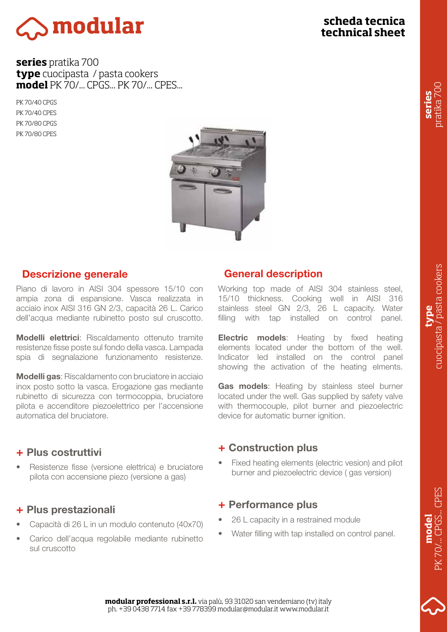

# **scheda tecnica technical sheet**

**series** pratika 700 **type** cuocipasta / pasta cookers **model** PK 70/... CPGS... PK 70/... CPES...

PK 70/40 CPGS PK 70/40 CPES PK 70/80 CPGS PK 70/80 CPES



### Descrizione generale

Piano di lavoro in AISI 304 spessore 15/10 con ampia zona di espansione. Vasca realizzata in acciaio inox AISI 316 GN 2/3, capacità 26 L. Carico dell'acqua mediante rubinetto posto sul cruscotto.

Modelli elettrici: Riscaldamento ottenuto tramite resistenze fisse poste sul fondo della vasca. Lampada spia di segnalazione funzionamento resistenze.

**Modelli gas:** Riscaldamento con bruciatore in acciaio inox posto sotto la vasca. Erogazione gas mediante rubinetto di sicurezza con termocoppia, bruciatore pilota e accenditore piezoelettrico per l'accensione automatica del bruciatore.

### + Plus costruttivi

• Resistenze fisse (versione elettrica) e bruciatore pilota con accensione piezo (versione a gas)

### + Plus prestazionali

- Capacità di 26 L in un modulo contenuto (40x70)
- Carico dell'acqua regolabile mediante rubinetto sul cruscotto

### General description

Working top made of AISI 304 stainless steel, 15/10 thickness. Cooking well in AISI 316 stainless steel GN 2/3, 26 L capacity. Water filling with tap installed on control panel.

**Electric models:** Heating by fixed heating elements located under the bottom of the well. Indicator led installed on the control panel showing the activation of the heating elments.

Gas models: Heating by stainless steel burner located under the well. Gas supplied by safety valve with thermocouple, pilot burner and piezoelectric device for automatic burner ignition.

### + Construction plus

• Fixed heating elements (electric vesion) and pilot burner and piezoelectric device ( gas version)

### + Performance plus

- 26 L capacity in a restrained module
- Water filling with tap installed on control panel.

**series** pratika 700

**model** PK 70/... CPGS... CPES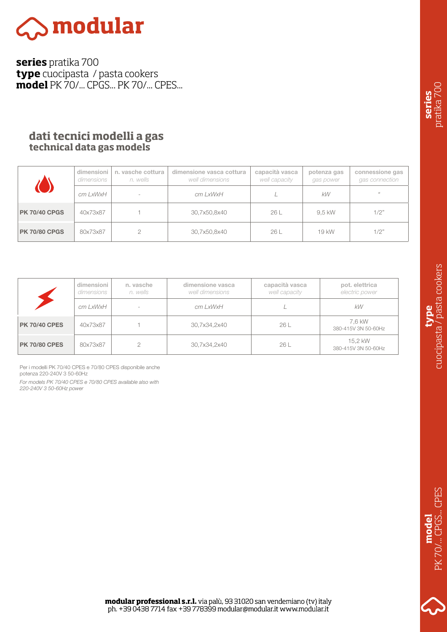

**series** pratika 700 **type** cuocipasta / pasta cookers **model** PK 70/... CPGS... PK 70/... CPES...

# **dati tecnici modelli a gas technical data gas models**

|                      | dimensioni<br>dimensions | n. vasche cottura<br>n. wells | dimensione vasca cottura<br>well dimensions | capacità vasca<br>well capacity | potenza gas<br>gas power | connessione gas<br>gas connection |
|----------------------|--------------------------|-------------------------------|---------------------------------------------|---------------------------------|--------------------------|-----------------------------------|
|                      | cm LxWxH                 | $\sim$                        | cm LxWxH                                    |                                 | kW                       | $65 - 10$                         |
| <b>PK 70/40 CPGS</b> | 40x73x87                 |                               | 30,7x50,8x40                                | 26 L                            | 9.5 kW                   | 1/2"                              |
| <b>PK 70/80 CPGS</b> | 80x73x87                 |                               | 30,7x50,8x40                                | 26 L                            | 19 kW                    | 1/2"                              |

|                      | dimensioni<br>dimensions | n, vasche<br>n, wells | dimensione vasca<br>well dimensions | capacità vasca<br>well capacity | pot. elettrica<br>electric power |
|----------------------|--------------------------|-----------------------|-------------------------------------|---------------------------------|----------------------------------|
|                      | cm LxWxH                 |                       | cm LxWxH                            |                                 | kW                               |
| <b>PK 70/40 CPES</b> | 40x73x87                 |                       | 30,7x34,2x40                        | 26 L                            | 7.6 kW<br>380-415V 3N 50-60Hz    |
| <b>PK 70/80 CPES</b> | 80x73x87                 |                       | 30,7x34,2x40                        | 26 L                            | 15.2 kW<br>380-415V 3N 50-60Hz   |

Per i modelli PK 70/40 CPES e 70/80 CPES disponibile anche potenza 220-240V 3 50-60Hz

*For models PK 70/40 CPES e 70/80 CPES available also with 220-240V 3 50-60Hz power*

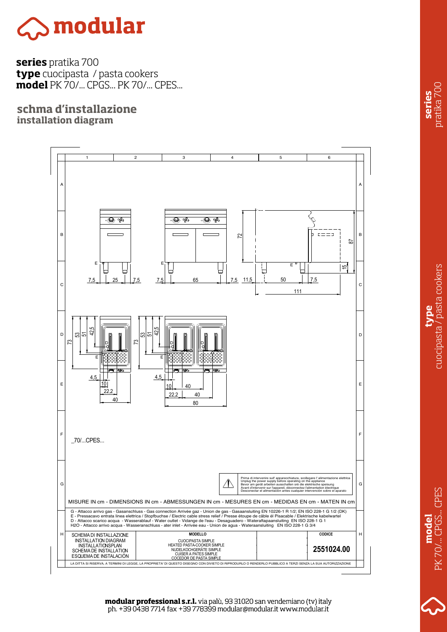

**series** pratika 700 **type** cuocipasta / pasta cookers **model** PK 70/... CPGS... PK 70/... CPES...

**schma d'installazione installation diagram**



PK 70/... CPGS... CPES . CPGS... CPES **model** PK70/

**modular professional s.r.l.** via palù, 93 31020 san vendemiano (tv) italy ph. +39 0438 7714 fax +39 778399 modular@modular.it www.modular.it